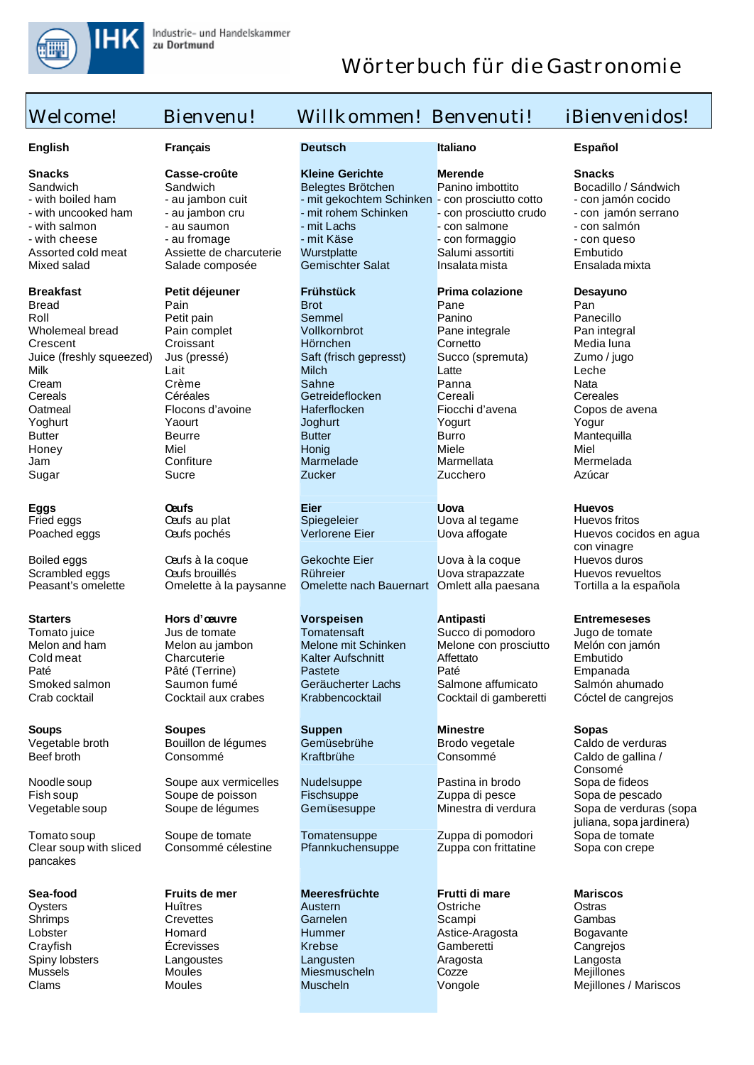

## Welcome! Bienvenu! Willkommen! Benvenuti! iBienvenidos! **English Français Deutsch Italiano Español Snacks Casse-croûte Kleine Gerichte Merende Snacks** Sandwich Sandwich Belegtes Brötchen Panino imbottito Bocadillo / Sándwich<br>
- with boiled ham - au jambon cuit - mit gekochtem Schinken - con prosciutto cotto - con jamón cocido - with boiled ham - au jambon cuit - mit gekochtem Schinken - con prosciutto cotto - con jamón cocido<br>- with uncooked ham - au jambon cru - mit rohem Schinken - con prosciutto crudo - con jamón serrano - con prosciutto crudo - with salmon - au saumon - mit Lachs - con salmone - con salmone - con salmón<br>- with cheese - au fromage - mit Käse - con formaggio - con queso - with cheese - au fromage - mit Käse - con formaggio - con queso Assorted cold meat Assiette de charcuterie Wurstplatte Salumi assortiti Embutido<br>Mixed salad Salade composée Gemischter Salat Insalata mista Ensalada mixta Mixed salad Salade composée Gemischter Salat Insalata mista **Breakfast Petit déjeuner Frühstück Prima colazione Desayuno** Bread Pain Brot Pane Pan Roll Petit pain Semmel Panino Panecillo Wholemeal bread Pain complet Vollkornbrot Pane integrale Pan integral Crescent Croissant Hörnchen Cornetto Media luna Juice (freshly squeezed) Jus (pressé) Saft (frisch gepresst) Succo (spremuta) Zumo / jugo Milk Lait Milch Latte Leche Cream Crème Sahne Panna Nata Cereals Céréales Getreideflocken Cereali Cereales Oatmeal Flocons d'avoine Haferflocken Fiocchi d'avena Copos de avena Yoghurt Yaourt Joghurt Yogurt Yogur Butter Beurre Butter Burro Mantequilla Honey Miel Honig Miele Miel Jam Confiture Marmelade Marmellata Mermelada Sugar Sucre Zucker Zucchero Azúcar **Eggs Oeufs Eier Uova Huevos** Fried eggs Oeufs au plat Spiegeleier Uova al tegame Huevos fritos Huevos cocidos en agua con vinagre Boiled eggs Oeufs à la coque Gekochte Eier Uova à la coque Huevos duros Scrambled eggs Caufs brouillés Rühreier Uova strapazzate Huevos revueltos<br>Peasant's omelette Omelette à la paysanne Omelette nach Bauernart Omlett alla paesana Tortilla a la española Omelette nach Bauernart Omlett alla paesana **Starters Hors d'oeuvre Vorspeisen Antipasti Entremeseses** Tomato juice **Succo di pomodoro** Jugo de tomate<br>
Melon and ham Melon au iambon Melone mit Schinken Melone con prosciutto Melon con iamón Melon and ham Melon au jambon Melone mit Schinken Melone con prosciutto Melon con interesting of the Melone con prosciutto Melon con cold meat Charcuterie Kalter Aufschnitt Affettato Embutido Cold meat Charcuterie Kalter Aufschnitt Affettato Cold meat Embutido<br>
Paté Paté Paté (Terrine) Pastete Paté Paté Empanada Paté Paté (Terrine) Pastete<br>
Smoked salmon Saumon fumé Geräucherter Lachs Smoked salmon Saumon fumé Geräucherter Lachs Salmone affumicato Salmón ahumado<br>Crab cocktail Cóctel de cangrejos (Stabbencocktail Cócktail di gamberetti Cóctel de cangrejos Cocktail di gamberetti **Soups Soupes Suppen Minestre Sopas** Vegetable broth Bouillon de légumes Gemüsebrühe Brodo vegetale Caldo de verduras<br>Beef broth Consommé Kraftbrühe Consommé Caldo de gallina / Caldo de gallina / Consomé<br>Sopa de fideos Noodle soup Soupe aux vermicelles Undelsuppe Pastina in brodo Sopa de fideos<br>
Pastina in brodo Sopa de pescado Sopa de pescado Pischsuppe Pastina di pesce Sopa de pescado Soupe de poisson Fisch suppe **Entrary Zuppa di pesce** Soupe de légumes Gemüsesuppe **Zuppa di pesce** de légumes du pescador de la pescador de légumes du verdura de légumes du verdura de légumes du verdura de légumes du verd Vegetable soup Soupe de légumes Gemüsesuppe Minestra di verdura Sopa de verduras (sopa juliana, sopa jardinera) Tomato soup Soupe de tomate Tomatensuppe Zuppa di pomodori Sopa de tomate Clear soup with sliced pancakes Consommé célestine Pfannkuchensuppe Zuppa con frittatine Sopa con crepe **Sea-food Fruits de mer Meeresfrüchte Frutti di mare Mariscos** Oysters Huîtres Austern Ostriche Ostras Shrimps Crevettes Garnelen Scampi Gambas Lobster Homard Hummer Astice-Aragosta Bogavante Crayfish Écrevisses Krebse Gamberetti Cangrejos Spiny lobsters Langoustes Langusten Aragosta Langosta Mussels Moules Miesmuscheln Cozze Mejillones Clams Moules Muscheln Vongole Mejillones / Mariscos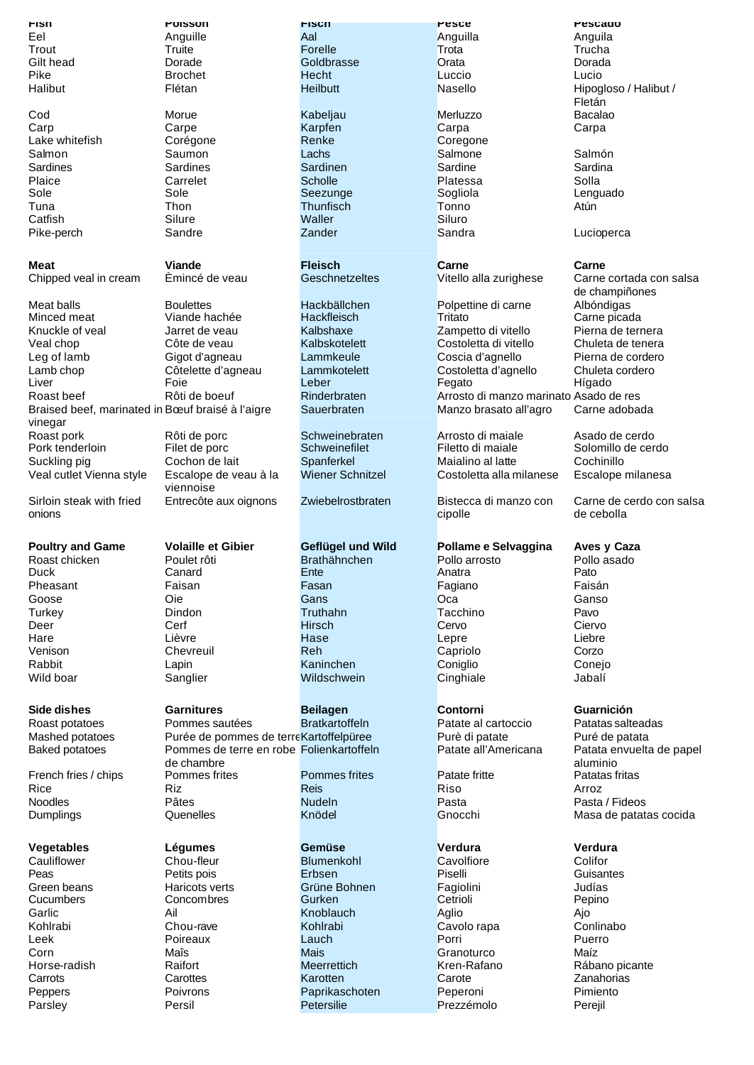**Fish Poisson Fisch Pesce Pescado** Eel Anguille Aal Anguilla Anguila Trout Truite Forelle Trota Trucha Gilt head Dorade Goldbrasse Orata Dorada Pike Brochet Hecht Luccio Lucio Halibut Flétan Heilbutt Nasello Hipogloso / Halibut / Heilbut / Hipogloso / Halibut / Fletán Cod Morue Kabeljau Merluzzo Bacalao Carp Carpe Karpfen Carpa Carpa Lake whitefish Corégone **Renke** Coregone Renke Coregone Salmon Saumon Lachs Salmone Salmón Sardines Sardines Sardinen Sardine Sardina Plaice Carrelet Scholle Platessa Solla Sole Sole Seezunge Sogliola Lenguado Tuna Thon Thunfisch Tonno Atún Catfish Silure Waller Siluro Pike-perch Sandre Zander Sandra Lucioperca **Meat Viande Fleisch Carne Carne** Chipped veal in cream Èmincé de veau Geschnetzeltes Vitello alla zurighese Carne cortada con salsa de champiñones Meat balls Boulettes Hackbällchen Polpettine di carne Albóndigas Minced meat Viande hachée Hackfleisch Tritato Carne picada Knuckle of veal Jarret de veau Calbshaxe Zampetto di vitello Veal chop Côte de veau Kalbskotelett Costoletta di vitello Chuleta de tenera Leg of lamb Gigot d'agneau Lammkeule Coscia d'agnello Pierna de cordero<br>
Lamb chop Côtelette d'agneau Lammkotelett Costoletta d'agnello Chuleta cordero Lamb chop Côtelette d'agneau Lammkotelett Costoletta d'agnello Chuleta<br>Liver Costoletta communication control control correspondent control control de Costoletta communication de Co<br>Leber Fegato Costoletta d'agnesia de Cor Liver Foie Leber Fegato Hígado Roast beef Rôti de boeuf Rinderbraten Arrosto di manzo marinato Asado de res<br>Braised beef, marinated in Bœuf braisé à l'aigre Sauerbraten Manzo brasato all'agro Carne adobada Braised beef, marinated in Bœuf braisé à l'aigre vinegar<br>Roast pork Manzo brasato all'agro Roast pork and Rôti de porc Schweinebraten and Arrosto di maiale Asado de cerdo<br>
Pork tenderloin Filet de porc Schweinefilet Filetto di maiale Solomillo de cer Solomillo de cerdo Suckling pig Cochon de lait Spanferkel Maialino al latte Cochinillo Veal cutlet Vienna style Escalope de veau à la viennoise Wiener Schnitzel Costoletta alla milanese Escalope milanesa Sirloin steak with fried onions Entrecôte aux oignons Zwiebelrostbraten Bistecca di manzo con cipolle Carne de cerdo con salsa de cebolla **Poultry and Game Volaille et Gibier Geflügel und Wild Pollame e Selvaggina Aves y Caza** Roast chicken Poulet rôti Brathähnchen Pollo arrosto Pollo arrosto Pollo arrosto Pollo arrosto Pollo en Pato<br>Duck Pato Duck Canard Ente Anatra Pato Pheasant Faisan Fasan Fagiano Faisán Goose Oie Gans Oca Ganso Turkey Dindon Truthahn Tacchino Pavo Deer Cerf Hirsch Cervo Ciervo Hare Lièvre Hase Lepre Liebre Venison Chevreuil Reh Capriolo Corzo Rabbit Lapin Kaninchen Coniglio Conejo Wild boar Sanglier Wildschwein Cinghiale Jabalí **Side dishes Garnitures Beilagen Contorni Guarnición** Roast potatoes **Pommes sautées** Bratkartoffeln **Patate al cartoccio** Patatas salteadas Mashed potatoes Purée de pommes de terreKartoffelpüree Purè di patate Puré de patata<br>Baked potatoes Pommes de terre en robe Folienkartoffeln Patate all'Americana Patata envuelta Baked potatoes Pommes de terre en robe Folienkartoffeln de chambre<br>Pommes frites Patata envuelta de papel aluminio<br>Patatas fritas French fries / chips Pommes frites Pommes frites Patate fritte Rice Riz Reis Riso Arroz Noodles Pâtes Nudeln Pasta Pasta / Fideos Dumplings Quenelles Knödel Gnocchi Masa de patatas cocida **Vegetables Légumes Gemüse Verdura Verdura** Cauliflower Chou-fleur Blumenkohl Cavolfiore Colifor Peas Petits pois Erbsen Piselli Guisantes Green beans Haricots verts Grüne Bohnen Fagiolini Judías Cucumbers Concombres Gurken Cetrioli Pepino Garlic Ail Knoblauch Aglio Ajo Kohlrabi Chou-rave Kohlrabi Cavolo rapa Conlinabo

Leek Poireaux Lauch Porri Puerro Corn Maîs Mais Granoturco Maíz Carrots Carottes Carotten Carotten Carote Carote Zanahorias Peppers Poivrons Paprikaschoten Peperoni Pimiento Parsley Persil Petersilie Prezzémolo Perejil

Horse-radish Raifort Meerrettich Kren-Rafano Rábano picante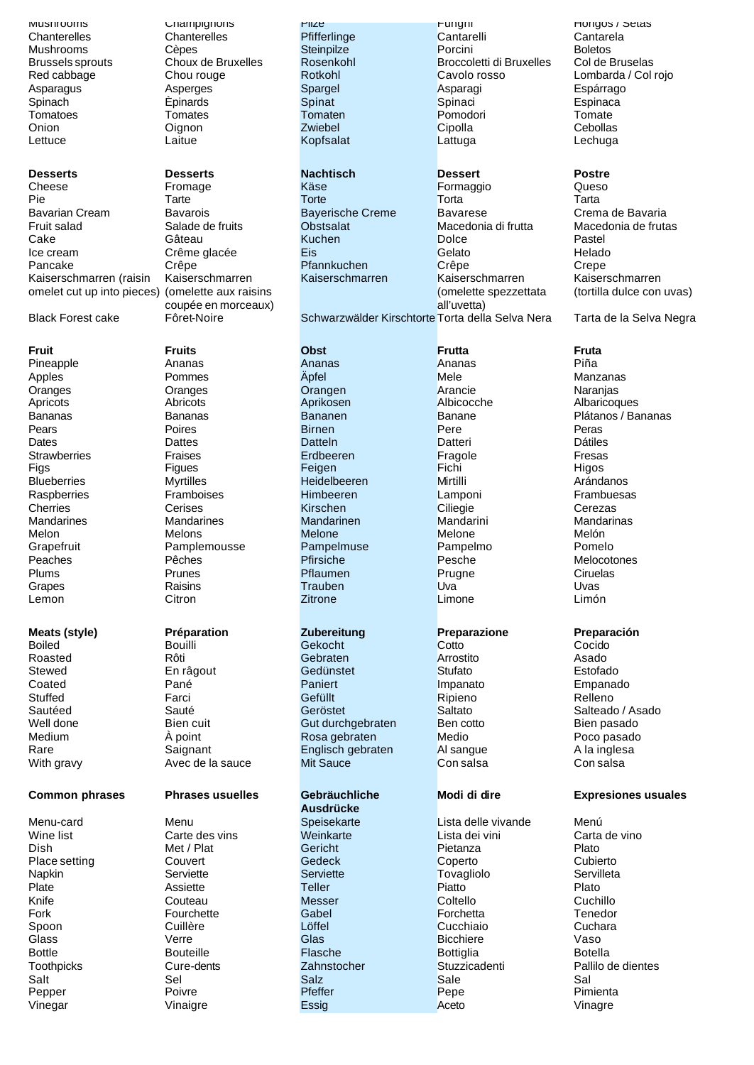### **Desserts Desserts Nachtisch Dessert Postre**

Cheese Fromage Käse Formaggio Queso Pie Tarte Torte Torta Tarta Bavarian Cream Bavarois Bayerische Creme Bavarese Crema de Bavaria Fruit salad Salade de fruits Obstsalat Macedonia di frutta Macedonia de frutas Cake Gâteau Kuchen Dolce Pastel Ice cream Crême glacée Eis Eis Gelato Helado Pancake Crêpe Crêpe Pfannkuchen Crêpe Crêpe Crepe<br>
Kaiserschmarten (raisin Kaiserschmarten Kaiserschmarten Kaiserschmarten Kaiser Kaiserschmarren (raisin omelet cut up into pieces)

**Fruit Fruits Obst Frutta Fruta** Lemon Citron Zitrone Limone Limón

# **Meats (style) Préparation Zubereitung Preparazione Preparación**

### **Common phrases Phrases usuelles Gebräuchliche**

Mushrooms Champignons Pilze Funghi Hongos / Setas

Kaiserschmarren (omelette aux raisins coupée en morceaux)

Pineapple Ananas Ananas Ananas Piña Apples Pommes Äpfel Mele Manzanas Oranges Oranges Orangen Arancie Naranjas Apricots Abricots Aprikosen Albicocche Albaricoques Pears **Poires** Poires Birnen **Pere** Pere Peras Dates Dattes Datteln Datteri Dátiles Strawberries Fraises Erdbeeren Fragole Fresas Figs Figues Feigen Fichi Higos Blueberries Myrtilles Heidelbeeren Mirtilli Arándanos Raspberries Framboises Himbeeren Lamponi Frambuesas Cherries Cerises Kirschen Ciliegie Cerezas Mandarines Mandarines Mandarinen Mandarini Mandarinas Melon Melons Melone Melone Melón Grapefruit Pamplemousse Pampelmuse Pampelmo Pomelo Peaches **Pêches Peaches** Pfirsiche Pesche Pesche Melocotones Plums Prunes Pflaumen Prugne Ciruelas Grapes Raisins Trauben Uva Uvas

Chanterelles Chanterelles Pfifferlinge Cantarelli Cantarela Mushrooms Cèpes Steinpilze Porcini Boletos Brussels sprouts Choux de Bruxelles Rosenkohl Broccoletti di Bruxelles Col de Bruselas Red cabbage Chou rouge Rotkohl Cavolo rosso Lombarda / Col rojo Asparagus Asperges Spargel Asparagi Espárrago Spinach Èpinards Spinat Spinaci Espinaca Tomatoes **Tomates Tomaten Tomaten** Pomodori Pomodori Tomate Onion Oignon Zwiebel Cipolla Cebollas Lettuce Laitue Kopfsalat Lattuga Lechuga

**Kaiserschmarren** (omelette spezzettata all'uvetta)

Black Forest cake Fôret-Noire Schwarzwälder Kirschtorte Torta della Selva Nera Tarta de la Selva Negra

Boiled Bouilli Gekocht Cotto Cocido Roasted Rôti Gebraten Arrostito Asado Stewed En râgout Gedünstet Stufato Estofado Coated Pané Paniert Impanato Empanado Stuffed Farci Gefüllt Ripieno Relleno Sautéed Sauté Geröstet Saltato Salteado / Asado Well done Bien cuit Bien cuit Gut durchgebraten Ben cotto Bien pasado<br>
Medium Apoint Rosa gebraten Medio Medio Poco pasado Medium  $\AA$  point Rosa gebraten Medio Poco pasado Rare **Saignant** Englisch gebraten Al sangue A la inglesa With gravy **Avec de la sauce** Mit Sauce Con salsa Con salsa Con salsa

**Ausdrücke**

Menu-card Menu Speisekarte Lista delle vivande Menú Wine list Carte des vins Weinkarte Lista dei vini Carta de vino Dish Met / Plat Gericht Pietanza Plato Place setting Couvert Gedeck Coperto Cubierto Napkin Serviette Serviette Tovagliolo Servilleta Plate **Assiette** Assiette Teller Piatto Piatto Plato Knife Couteau Messer Coltello Cuchillo Fork Fourchette Gabel Forchetta Tenedor Spoon Cuillère Löffel Cucchiaio Cuchara Glass Verre Glas Bicchiere Vaso Bottle Bouteille Flasche Bottiglia Botella Toothpicks Cure-dents Zahnstocher Stuzzicadenti Pallilo de dientes Salt Sel Salz Sale Sal Pepper Poivre Pfeffer Pepe Pimienta Vinegar Vinaigre Essig Aceto Vinagre

Kaiserschmarren (tortilla dulce con uvas)

Bananas Bananas Bananen Banane Plátanos / Bananas

### **Modi di dire Expresiones usuales**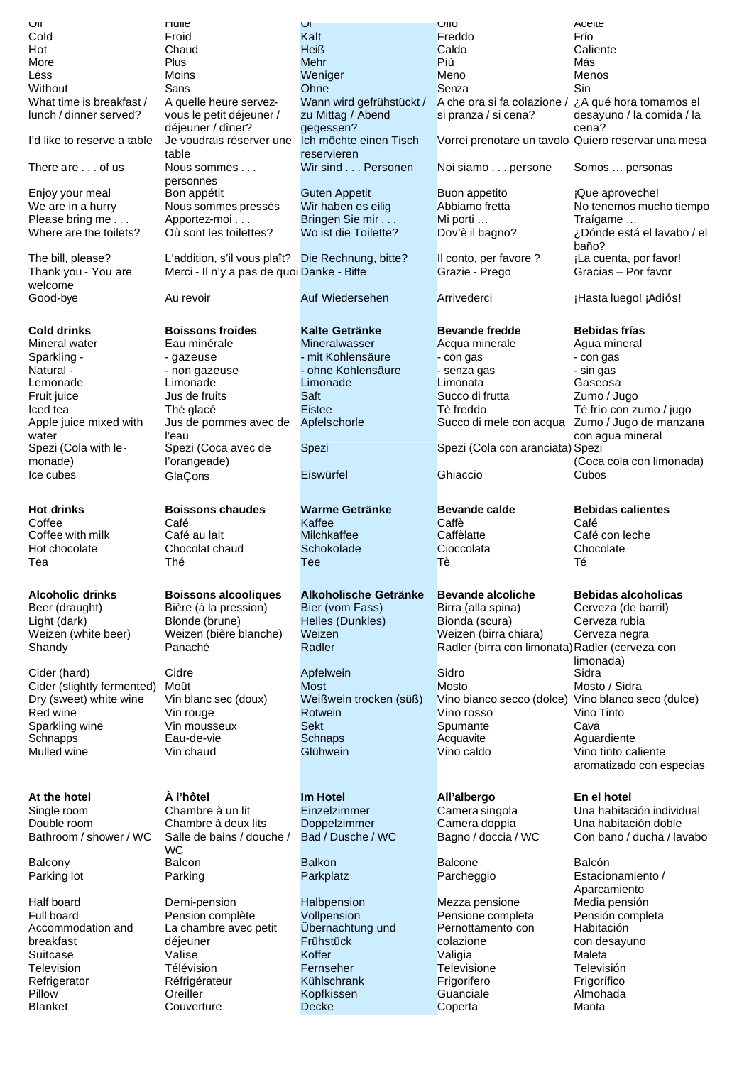| UII                            | nulle                                             | <u>VI</u>                             | UIIU                                               | Acelle                                              |
|--------------------------------|---------------------------------------------------|---------------------------------------|----------------------------------------------------|-----------------------------------------------------|
| Cold                           | Froid                                             | Kalt                                  | Freddo                                             | Frío                                                |
| Hot                            | Chaud                                             | Heiß                                  | Caldo                                              | Caliente                                            |
| More                           | Plus                                              | Mehr                                  | Più                                                | Más                                                 |
| Less                           | Moins                                             | Weniger                               | Meno                                               | Menos                                               |
| Without                        | Sans                                              | Ohne                                  | Senza                                              | Sin                                                 |
| What time is breakfast /       | A quelle heure servez-                            | Wann wird gefrühstückt /              | A che ora si fa colazione /                        | ¿A qué hora tomamos el                              |
| lunch / dinner served?         | vous le petit déjeuner /                          | zu Mittag / Abend                     | si pranza / si cena?                               | desayuno / la comida / la<br>cena?                  |
|                                | déjeuner / dîner?                                 | gegessen?                             |                                                    |                                                     |
| I'd like to reserve a table    | Je voudrais réserver une<br>table                 | Ich möchte einen Tisch<br>reservieren |                                                    | Vorrei prenotare un tavolo Quiero reservar una mesa |
| There are of us                | Nous sommes                                       | Wir sind Personen                     | Noi siamo persone                                  |                                                     |
|                                | personnes                                         |                                       |                                                    | Somos  personas                                     |
| Enjoy your meal                | Bon appétit                                       | <b>Guten Appetit</b>                  | <b>Buon appetito</b>                               | ¡Que aproveche!                                     |
| We are in a hurry              | Nous sommes pressés                               | Wir haben es eilig                    | Abbiamo fretta                                     | No tenemos mucho tiempo                             |
| Please bring me                | Apportez-moi                                      | Bringen Sie mir                       | Mi porti                                           | Traígame                                            |
| Where are the toilets?         | Où sont les toilettes?                            | Wo ist die Toilette?                  | Dov'è il bagno?                                    | ¿Dónde está el lavabo / el                          |
|                                |                                                   |                                       |                                                    | baño?                                               |
| The bill, please?              | L'addition, s'il vous plaît? Die Rechnung, bitte? |                                       | Il conto, per favore ?                             | ¡La cuenta, por favor!                              |
| Thank you - You are            | Merci - Il n'y a pas de quoi Danke - Bitte        |                                       | Grazie - Prego                                     | Gracias - Por favor                                 |
| welcome                        |                                                   |                                       |                                                    |                                                     |
| Good-bye                       | Au revoir                                         | Auf Wiedersehen                       | Arrivederci                                        | ¡Hasta luego! ¡Adiós!                               |
|                                |                                                   |                                       |                                                    |                                                     |
| <b>Cold drinks</b>             | <b>Boissons froides</b>                           | <b>Kalte Getränke</b>                 | <b>Bevande fredde</b>                              | <b>Bebidas frías</b>                                |
| Mineral water                  | Eau minérale                                      | Mineralwasser                         | Acqua minerale                                     | Agua mineral                                        |
| Sparkling -                    | -gazeuse                                          | - mit Kohlensäure                     | - con gas                                          | - con gas                                           |
| Natural -                      | - non gazeuse                                     | - ohne Kohlensäure                    | - senza gas                                        | - sin gas                                           |
| Lemonade                       | Limonade                                          | Limonade                              | Limonata                                           | Gaseosa                                             |
| Fruit juice                    | Jus de fruits                                     | Saft                                  | Succo di frutta                                    | Zumo / Jugo                                         |
| Iced tea                       | Thé glacé                                         | Eistee                                | Tè freddo                                          | Té frío con zumo / jugo                             |
| Apple juice mixed with         | Jus de pommes avec de                             | Apfelschorle                          | Succo di mele con acqua                            | Zumo / Jugo de manzana                              |
| water                          | l'eau                                             |                                       |                                                    | con agua mineral                                    |
| Spezi (Cola with le-           | Spezi (Coca avec de                               | Spezi                                 | Spezi (Cola con aranciata) Spezi                   |                                                     |
| monade)                        | l'orangeade)                                      |                                       |                                                    | (Coca cola con limonada)                            |
| Ice cubes                      | GlaÇons                                           | Eiswürfel                             | Ghiaccio                                           | Cubos                                               |
|                                |                                                   |                                       |                                                    |                                                     |
| <b>Hot drinks</b>              | <b>Boissons chaudes</b>                           | <b>Warme Getränke</b>                 | <b>Bevande calde</b>                               | <b>Bebidas calientes</b>                            |
| Coffee                         | Café                                              | Kaffee                                | Caffè                                              | Café                                                |
| Coffee with milk               | Café au lait                                      | Milchkaffee                           | Caffèlatte                                         | Café con leche                                      |
| Hot chocolate                  | Chocolat chaud                                    | Schokolade                            | Cioccolata                                         | Chocolate                                           |
| Tea                            | Thé                                               | Tee                                   | Τè                                                 | Té                                                  |
|                                |                                                   |                                       |                                                    |                                                     |
| <b>Alcoholic drinks</b>        | <b>Boissons alcooliques</b>                       | Alkoholische Getränke                 | <b>Bevande alcoliche</b>                           | <b>Bebidas alcoholicas</b>                          |
| Beer (draught)                 | Bière (à la pression)                             | Bier (vom Fass)                       | Birra (alla spina)                                 | Cerveza (de barril)                                 |
| Light (dark)                   | Blonde (brune)                                    | Helles (Dunkles)                      | Bionda (scura)                                     | Cerveza rubia                                       |
| Weizen (white beer)            | Weizen (bière blanche)                            | Weizen                                | Weizen (birra chiara)                              | Cerveza negra                                       |
| Shandy                         | Panaché                                           | Radler                                | Radler (birra con limonata) Radler (cerveza con    |                                                     |
|                                |                                                   |                                       |                                                    | limonada)                                           |
| Cider (hard)                   | Cidre                                             | Apfelwein                             | Sidro                                              | Sidra                                               |
| Cider (slightly fermented)     | Moût                                              | Most                                  | <b>Mosto</b>                                       | Mosto / Sidra                                       |
| Dry (sweet) white wine         | Vin blanc sec (doux)                              | Weißwein trocken (süß)                | Vino bianco secco (dolce) Vino blanco seco (dulce) |                                                     |
| Red wine                       | Vin rouge                                         | Rotwein                               | Vino rosso                                         | Vino Tinto                                          |
| Sparkling wine                 | Vin mousseux                                      | <b>Sekt</b>                           | Spumante                                           | Cava                                                |
| Schnapps                       | Eau-de-vie                                        | Schnaps                               | Acquavite                                          | Aguardiente                                         |
| Mulled wine                    | Vin chaud                                         | Glühwein                              | Vino caldo                                         | Vino tinto caliente                                 |
|                                |                                                   |                                       |                                                    | aromatizado con especias                            |
|                                |                                                   |                                       |                                                    |                                                     |
| At the hotel                   | À l'hôtel                                         | <b>Im Hotel</b>                       | All'albergo                                        | En el hotel                                         |
| Single room                    | Chambre à un lit                                  | Einzelzimmer                          | Camera singola                                     | Una habitación individual                           |
| Double room                    | Chambre à deux lits                               | Doppelzimmer                          | Camera doppia                                      | Una habitación doble                                |
| Bathroom / shower / WC         | Salle de bains / douche /                         | Bad / Dusche / WC                     | Bagno / doccia / WC                                | Con bano / ducha / lavabo                           |
|                                | <b>WC</b>                                         |                                       |                                                    |                                                     |
| Balcony                        | Balcon                                            | <b>Balkon</b>                         | <b>Balcone</b>                                     | Balcón                                              |
| Parking lot                    | Parking                                           | Parkplatz                             | Parcheggio                                         | Estacionamiento /                                   |
|                                |                                                   |                                       |                                                    | Aparcamiento                                        |
| Half board                     | Demi-pension                                      | Halbpension                           | Mezza pensione                                     | Media pensión                                       |
| Full board                     | Pension complète                                  | Vollpension                           | Pensione completa                                  | Pensión completa                                    |
| Accommodation and<br>breakfast | La chambre avec petit                             | Übernachtung und<br>Frühstück         | Pernottamento con<br>colazione                     | Habitación                                          |
| Suitcase                       | déjeuner<br>Valise                                | Koffer                                | Valigia                                            | con desayuno<br>Maleta                              |
| Television                     | Télévision                                        | Fernseher                             | Televisione                                        | Televisión                                          |
| Refrigerator                   |                                                   |                                       |                                                    |                                                     |
|                                |                                                   |                                       |                                                    |                                                     |
|                                | Réfrigérateur<br>Oreiller                         | Kühlschrank                           | Frigorifero<br>Guanciale                           | Frigorífico<br>Almohada                             |
| Pillow<br><b>Blanket</b>       | Couverture                                        | Kopfkissen<br><b>Decke</b>            | Coperta                                            | Manta                                               |